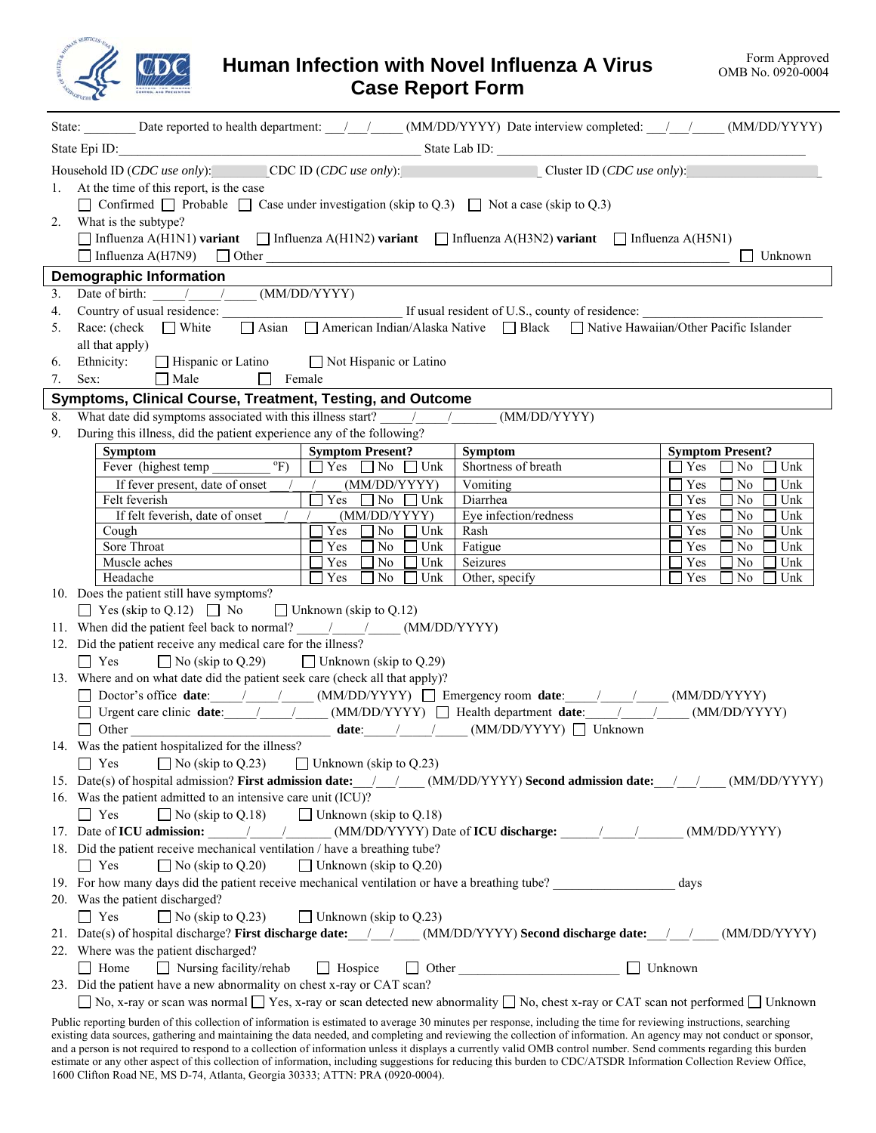

 $\overline{\phantom{a}}$ 

 $\overline{\phantom{a}}$ 

## **Human Infection with Novel Influenza A Virus Case Report Form**

| State: Date reported to health department: /// (MM/DD/YYYY) Date interview completed: /// (MM/DD/YYYY)                                                                                                                                                                                                                                                               |                                                                                                                                                                                                                                                                                                                                                                                                                      |                                                                                          |                                                                   |  |  |  |  |
|----------------------------------------------------------------------------------------------------------------------------------------------------------------------------------------------------------------------------------------------------------------------------------------------------------------------------------------------------------------------|----------------------------------------------------------------------------------------------------------------------------------------------------------------------------------------------------------------------------------------------------------------------------------------------------------------------------------------------------------------------------------------------------------------------|------------------------------------------------------------------------------------------|-------------------------------------------------------------------|--|--|--|--|
| State Epi ID: State Lab ID: State Lab ID: State Lab ID:                                                                                                                                                                                                                                                                                                              |                                                                                                                                                                                                                                                                                                                                                                                                                      |                                                                                          |                                                                   |  |  |  |  |
| Household ID (CDC use only): CDC ID (CDC use only): Cluster ID (CDC use only):                                                                                                                                                                                                                                                                                       |                                                                                                                                                                                                                                                                                                                                                                                                                      |                                                                                          |                                                                   |  |  |  |  |
| At the time of this report, is the case<br>1.                                                                                                                                                                                                                                                                                                                        |                                                                                                                                                                                                                                                                                                                                                                                                                      |                                                                                          |                                                                   |  |  |  |  |
| $\Box$ Confirmed $\Box$ Probable $\Box$ Case under investigation (skip to Q.3) $\Box$ Not a case (skip to Q.3)                                                                                                                                                                                                                                                       |                                                                                                                                                                                                                                                                                                                                                                                                                      |                                                                                          |                                                                   |  |  |  |  |
| What is the subtype?<br>2.                                                                                                                                                                                                                                                                                                                                           |                                                                                                                                                                                                                                                                                                                                                                                                                      |                                                                                          |                                                                   |  |  |  |  |
| $\Box$ Influenza A(H1N1) variant $\Box$ Influenza A(H1N2) variant $\Box$ Influenza A(H3N2) variant $\Box$ Influenza A(H5N1)                                                                                                                                                                                                                                          |                                                                                                                                                                                                                                                                                                                                                                                                                      |                                                                                          |                                                                   |  |  |  |  |
| Influenza A(H7N9)                                                                                                                                                                                                                                                                                                                                                    |                                                                                                                                                                                                                                                                                                                                                                                                                      | $\Box$ Other                                                                             | Unknown                                                           |  |  |  |  |
| <b>Demographic Information</b>                                                                                                                                                                                                                                                                                                                                       |                                                                                                                                                                                                                                                                                                                                                                                                                      |                                                                                          |                                                                   |  |  |  |  |
| 3.                                                                                                                                                                                                                                                                                                                                                                   | Date of birth: / / (MM/DD/YYYY)                                                                                                                                                                                                                                                                                                                                                                                      |                                                                                          |                                                                   |  |  |  |  |
| 4.                                                                                                                                                                                                                                                                                                                                                                   |                                                                                                                                                                                                                                                                                                                                                                                                                      |                                                                                          |                                                                   |  |  |  |  |
| Race: (check $\Box$ White<br>5.                                                                                                                                                                                                                                                                                                                                      |                                                                                                                                                                                                                                                                                                                                                                                                                      | △ Asian △ American Indian/Alaska Native △ Black △ Native Hawaiian/Other Pacific Islander |                                                                   |  |  |  |  |
| all that apply)                                                                                                                                                                                                                                                                                                                                                      |                                                                                                                                                                                                                                                                                                                                                                                                                      |                                                                                          |                                                                   |  |  |  |  |
| □ Hispanic or Latino □ Not Hispanic or Latino<br>Ethnicity:<br>6.                                                                                                                                                                                                                                                                                                    |                                                                                                                                                                                                                                                                                                                                                                                                                      |                                                                                          |                                                                   |  |  |  |  |
| $\Box$ Male<br>$\Box$ Female<br>7.<br>Sex:                                                                                                                                                                                                                                                                                                                           |                                                                                                                                                                                                                                                                                                                                                                                                                      |                                                                                          |                                                                   |  |  |  |  |
| Symptoms, Clinical Course, Treatment, Testing, and Outcome                                                                                                                                                                                                                                                                                                           |                                                                                                                                                                                                                                                                                                                                                                                                                      |                                                                                          |                                                                   |  |  |  |  |
| What date did symptoms associated with this illness start?<br>8.                                                                                                                                                                                                                                                                                                     |                                                                                                                                                                                                                                                                                                                                                                                                                      | (MM/DD/YYYY)                                                                             |                                                                   |  |  |  |  |
| During this illness, did the patient experience any of the following?<br>9.                                                                                                                                                                                                                                                                                          |                                                                                                                                                                                                                                                                                                                                                                                                                      |                                                                                          |                                                                   |  |  |  |  |
| <b>Symptom</b><br>$\mathrm{P}(\mathrm{F})$                                                                                                                                                                                                                                                                                                                           | <b>Symptom Present?</b>                                                                                                                                                                                                                                                                                                                                                                                              | Symptom<br>Shortness of breath                                                           | <b>Symptom Present?</b>                                           |  |  |  |  |
| Fever (highest temp                                                                                                                                                                                                                                                                                                                                                  | $\Box$ Yes $\Box$ No $\Box$ Unk                                                                                                                                                                                                                                                                                                                                                                                      |                                                                                          | Yes<br>Unk<br>No<br>$\perp$                                       |  |  |  |  |
| If fever present, date of onset<br>Felt feverish                                                                                                                                                                                                                                                                                                                     | (MM/DD/YYYY)<br>$\Box$ Yes $\Box$ No $\Box$<br>Unk                                                                                                                                                                                                                                                                                                                                                                   | Vomiting<br>Diarrhea                                                                     | Yes<br>N <sub>0</sub><br>Unk<br>Yes<br>N <sub>0</sub><br>Unk<br>L |  |  |  |  |
| If felt feverish, date of onset                                                                                                                                                                                                                                                                                                                                      | (MM/DD/YYYY)                                                                                                                                                                                                                                                                                                                                                                                                         | Eye infection/redness                                                                    | Unk<br>Yes<br>No                                                  |  |  |  |  |
| Cough                                                                                                                                                                                                                                                                                                                                                                | Yes<br>$\Box$ No<br>Unk                                                                                                                                                                                                                                                                                                                                                                                              | Rash                                                                                     | Yes<br>N <sub>0</sub><br>Unk                                      |  |  |  |  |
| Sore Throat                                                                                                                                                                                                                                                                                                                                                          | Yes<br>Unk<br>  No                                                                                                                                                                                                                                                                                                                                                                                                   | Fatigue                                                                                  | Yes<br>No<br>Unk                                                  |  |  |  |  |
| Muscle aches                                                                                                                                                                                                                                                                                                                                                         | Yes<br>Unk<br>  No                                                                                                                                                                                                                                                                                                                                                                                                   | Seizures                                                                                 | Yes<br>No<br>Unk                                                  |  |  |  |  |
| Headache                                                                                                                                                                                                                                                                                                                                                             | $\Box$ Yes<br>N <sub>0</sub><br>Unk                                                                                                                                                                                                                                                                                                                                                                                  | Other, specify                                                                           | Yes<br>Unk<br>No                                                  |  |  |  |  |
| 10. Does the patient still have symptoms?                                                                                                                                                                                                                                                                                                                            |                                                                                                                                                                                                                                                                                                                                                                                                                      |                                                                                          |                                                                   |  |  |  |  |
| $\Box$ Yes (skip to Q.12) $\Box$ No                                                                                                                                                                                                                                                                                                                                  | $\Box$ Unknown (skip to Q.12)                                                                                                                                                                                                                                                                                                                                                                                        |                                                                                          |                                                                   |  |  |  |  |
| 11. When did the patient feel back to normal? / / / (MM/DD/YYYY)                                                                                                                                                                                                                                                                                                     |                                                                                                                                                                                                                                                                                                                                                                                                                      |                                                                                          |                                                                   |  |  |  |  |
| 12. Did the patient receive any medical care for the illness?                                                                                                                                                                                                                                                                                                        |                                                                                                                                                                                                                                                                                                                                                                                                                      |                                                                                          |                                                                   |  |  |  |  |
| $\Box$ Yes                                                                                                                                                                                                                                                                                                                                                           | $\Box$ No (skip to Q.29) $\Box$ Unknown (skip to Q.29)                                                                                                                                                                                                                                                                                                                                                               |                                                                                          |                                                                   |  |  |  |  |
| 13. Where and on what date did the patient seek care (check all that apply)?                                                                                                                                                                                                                                                                                         |                                                                                                                                                                                                                                                                                                                                                                                                                      |                                                                                          |                                                                   |  |  |  |  |
| $\Box$ Doctor's office date: $\Box$ / (MM/DD/YYYY) $\Box$ Emergency room date: / / (MM/DD/YYYY)                                                                                                                                                                                                                                                                      |                                                                                                                                                                                                                                                                                                                                                                                                                      |                                                                                          |                                                                   |  |  |  |  |
| □ Urgent care clinic date: / / / / (MM/DD/YYYY) □ Health department date: / / / (MM/DD/YYYY)                                                                                                                                                                                                                                                                         |                                                                                                                                                                                                                                                                                                                                                                                                                      |                                                                                          |                                                                   |  |  |  |  |
| $\fbox{\parbox{1.5cm} \begin{picture}(120,140) \put(0,0){\dashbox{0.5}(120,0){ }} \put(15,0){\dashbox{0.5}(120,0){ }} \put(15,0){\dashbox{0.5}(120,0){ }} \put(15,0){\dashbox{0.5}(120,0){ }} \put(15,0){\dashbox{0.5}(120,0){ }} \put(15,0){\dashbox{0.5}(120,0){ }} \put(15,0){\dashbox{0.5}(120,0){ }} \put(15,0){\dashbox{0.5}(120,0){ }} \put(15,0){\dashbox{0$ |                                                                                                                                                                                                                                                                                                                                                                                                                      |                                                                                          |                                                                   |  |  |  |  |
|                                                                                                                                                                                                                                                                                                                                                                      | 14. Was the patient hospitalized for the illness?                                                                                                                                                                                                                                                                                                                                                                    |                                                                                          |                                                                   |  |  |  |  |
| $\Box$ No (skip to Q.23)<br>$\Box$ Unknown (skip to Q.23)<br>$\vert$   Yes                                                                                                                                                                                                                                                                                           |                                                                                                                                                                                                                                                                                                                                                                                                                      |                                                                                          |                                                                   |  |  |  |  |
|                                                                                                                                                                                                                                                                                                                                                                      | 15. Date(s) of hospital admission? First admission date: / / (MM/DD/YYYY) Second admission date: / /<br>(MM/DD/YYYY)                                                                                                                                                                                                                                                                                                 |                                                                                          |                                                                   |  |  |  |  |
| 16. Was the patient admitted to an intensive care unit (ICU)?                                                                                                                                                                                                                                                                                                        |                                                                                                                                                                                                                                                                                                                                                                                                                      |                                                                                          |                                                                   |  |  |  |  |
| $\Box$ No (skip to Q.18)<br>l l Yes                                                                                                                                                                                                                                                                                                                                  | $\Box$ Unknown (skip to Q.18)                                                                                                                                                                                                                                                                                                                                                                                        |                                                                                          |                                                                   |  |  |  |  |
|                                                                                                                                                                                                                                                                                                                                                                      | 17. Date of <b>ICU</b> admission: $\frac{1}{\sqrt{1-\frac{1}{1-\frac{1}{1-\frac{1}{1-\frac{1}{1-\frac{1}{1-\frac{1}{1-\frac{1}{1-\frac{1}{1-\frac{1}{1-\frac{1}{1-\frac{1}{1-\frac{1}{1-\frac{1}{1-\frac{1}{1-\frac{1}{1-\frac{1}{1-\frac{1}{1-\frac{1}{1-\frac{1}{1-\frac{1}{1-\frac{1}{1-\frac{1}{1-\frac{1}{1-\frac{1}{1-\frac{1}{1-\frac{1}{1-\frac{1}{1-\frac{1}{1-\frac{1}{1-\frac{1}{1-\frac$<br>(MM/DD/YYYY) |                                                                                          |                                                                   |  |  |  |  |
| 18. Did the patient receive mechanical ventilation / have a breathing tube?                                                                                                                                                                                                                                                                                          |                                                                                                                                                                                                                                                                                                                                                                                                                      |                                                                                          |                                                                   |  |  |  |  |
| $\Box$ No (skip to Q.20)<br>$\vert$   Yes                                                                                                                                                                                                                                                                                                                            | $\Box$ Unknown (skip to Q.20)                                                                                                                                                                                                                                                                                                                                                                                        |                                                                                          |                                                                   |  |  |  |  |
| 19. For how many days did the patient receive mechanical ventilation or have a breathing tube?                                                                                                                                                                                                                                                                       |                                                                                                                                                                                                                                                                                                                                                                                                                      |                                                                                          | days                                                              |  |  |  |  |
| 20. Was the patient discharged?                                                                                                                                                                                                                                                                                                                                      |                                                                                                                                                                                                                                                                                                                                                                                                                      |                                                                                          |                                                                   |  |  |  |  |
| $\Box$ Yes<br>$\Box$ No (skip to Q.23)                                                                                                                                                                                                                                                                                                                               | $\Box$ Unknown (skip to Q.23)                                                                                                                                                                                                                                                                                                                                                                                        |                                                                                          |                                                                   |  |  |  |  |
| 21. Date(s) of hospital discharge? First discharge date: / / (MM/DD/YYYY) Second discharge date: / / (MM/DD/YYYY)                                                                                                                                                                                                                                                    |                                                                                                                                                                                                                                                                                                                                                                                                                      |                                                                                          |                                                                   |  |  |  |  |
| 22. Where was the patient discharged?                                                                                                                                                                                                                                                                                                                                |                                                                                                                                                                                                                                                                                                                                                                                                                      |                                                                                          |                                                                   |  |  |  |  |
| $\Box$ Nursing facility/rehab<br>  Home                                                                                                                                                                                                                                                                                                                              | $\Box$ Hospice                                                                                                                                                                                                                                                                                                                                                                                                       | $\Box$ Other                                                                             | $\Box$ Unknown                                                    |  |  |  |  |
| 23. Did the patient have a new abnormality on chest x-ray or CAT scan?                                                                                                                                                                                                                                                                                               |                                                                                                                                                                                                                                                                                                                                                                                                                      |                                                                                          |                                                                   |  |  |  |  |
| No, x-ray or scan was normal $\Box$ Yes, x-ray or scan detected new abnormality $\Box$ No, chest x-ray or CAT scan not performed $\Box$ Unknown                                                                                                                                                                                                                      |                                                                                                                                                                                                                                                                                                                                                                                                                      |                                                                                          |                                                                   |  |  |  |  |
| Public reporting burden of this collection of information is estimated to average 30 minutes per response, including the time for reviewing instructions, searching                                                                                                                                                                                                  |                                                                                                                                                                                                                                                                                                                                                                                                                      |                                                                                          |                                                                   |  |  |  |  |
| existing data sources, gathering and maintaining the data needed, and completing and reviewing the collection of information. An agency may not conduct or sponsor,<br>$\alpha$ animal to general to a collection of information unless it displays a querontly valid OMD control number. Sand comments regarding this by                                            |                                                                                                                                                                                                                                                                                                                                                                                                                      |                                                                                          |                                                                   |  |  |  |  |

and a person is not required to respond to a collection of information unless it displays a currently valid OMB control number. Send comments regarding this burden estimate or any other aspect of this collection of information, including suggestions for reducing this burden to CDC/ATSDR Information Collection Review Office, 1600 Clifton Road NE, MS D-74, Atlanta, Georgia 30333; ATTN: PRA (0920-0004).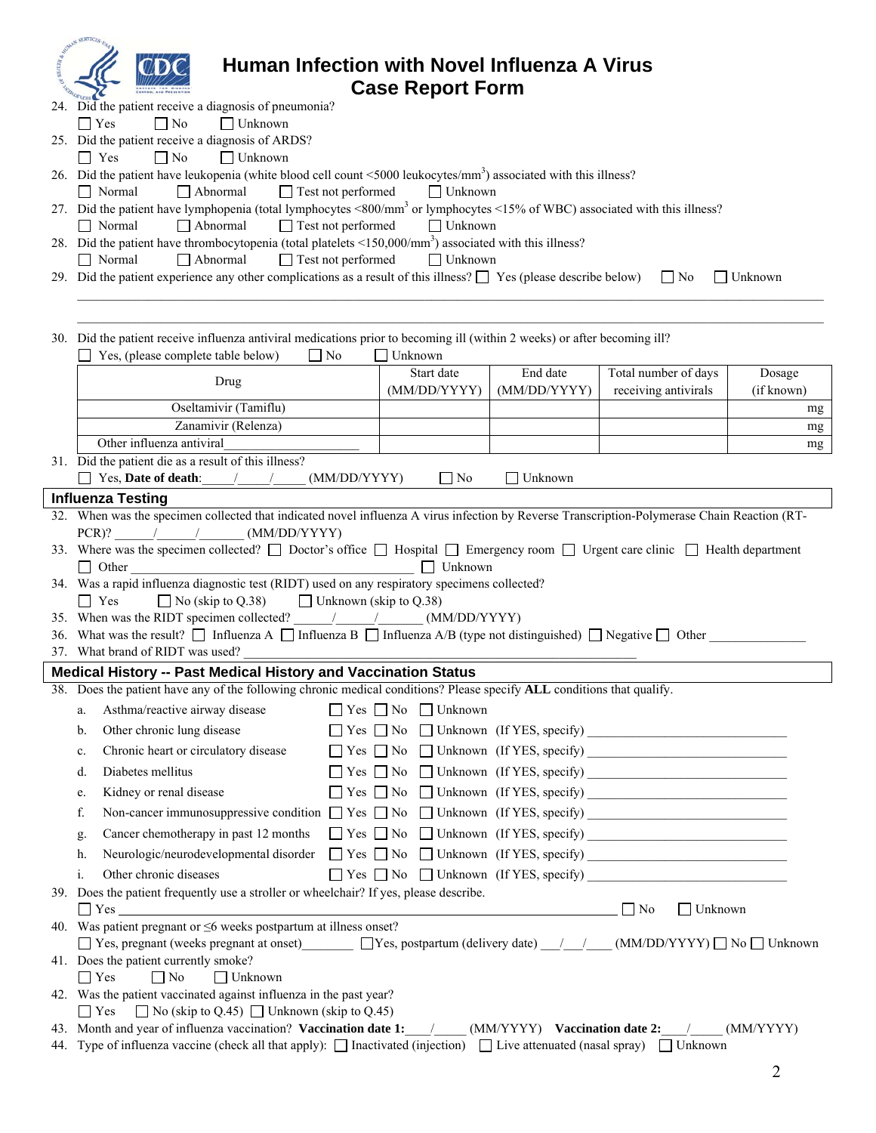| AN SERVICE<br>Human Infection with Novel Influenza A Virus                                                                                                                              |                                     |                |                             |                |  |
|-----------------------------------------------------------------------------------------------------------------------------------------------------------------------------------------|-------------------------------------|----------------|-----------------------------|----------------|--|
| <b>Case Report Form</b>                                                                                                                                                                 |                                     |                |                             |                |  |
| 24. Did the patient receive a diagnosis of pneumonia?                                                                                                                                   |                                     |                |                             |                |  |
| $\Box$ Unknown<br>$\Box$ No<br>$\Box$ Yes                                                                                                                                               |                                     |                |                             |                |  |
| 25. Did the patient receive a diagnosis of ARDS?                                                                                                                                        |                                     |                |                             |                |  |
| $\Box$ No<br>$\Box$ Unknown<br>$\Box$ Yes                                                                                                                                               |                                     |                |                             |                |  |
| 26. Did the patient have leukopenia (white blood cell count <5000 leukocytes/mm <sup>3</sup> ) associated with this illness?<br>$\Box$ Abnormal<br>$\Box$ Test not performed<br>Normal  | $\Box$ Unknown                      |                |                             |                |  |
| 27. Did the patient have lymphopenia (total lymphocytes <800/mm <sup>3</sup> or lymphocytes <15% of WBC) associated with this illness?                                                  |                                     |                |                             |                |  |
| $\Box$ Abnormal<br>$\Box$ Test not performed<br>$\Box$ Normal                                                                                                                           | $\Box$ Unknown                      |                |                             |                |  |
| 28. Did the patient have thrombocytopenia (total platelets $\leq 150,000/\text{mm}^3$ ) associated with this illness?                                                                   |                                     |                |                             |                |  |
| $\Box$ Test not performed<br>$\Box$ Abnormal<br>$\Box$ Normal<br>29. Did the patient experience any other complications as a result of this illness? $\Box$ Yes (please describe below) | $\Box$ Unknown                      |                |                             | $\Box$ Unknown |  |
|                                                                                                                                                                                         |                                     |                | $\vert$   No                |                |  |
|                                                                                                                                                                                         |                                     |                |                             |                |  |
|                                                                                                                                                                                         |                                     |                |                             |                |  |
| 30. Did the patient receive influenza antiviral medications prior to becoming ill (within 2 weeks) or after becoming ill?<br>Yes, (please complete table below)<br>    No               | Unknown                             |                |                             |                |  |
|                                                                                                                                                                                         | Start date                          | End date       | Total number of days        | Dosage         |  |
| Drug                                                                                                                                                                                    | (MM/DD/YYYY)                        | (MM/DD/YYYY)   | receiving antivirals        | (if known)     |  |
| Oseltamivir (Tamiflu)                                                                                                                                                                   |                                     |                |                             | mg             |  |
| Zanamivir (Relenza)                                                                                                                                                                     |                                     |                |                             | mg             |  |
| Other influenza antiviral<br>31. Did the patient die as a result of this illness?                                                                                                       |                                     |                |                             | mg             |  |
| Yes, <b>Date of death</b> : / /<br>(MM/DD/YYYY)                                                                                                                                         | $\Box$ No                           | $\Box$ Unknown |                             |                |  |
| <b>Influenza Testing</b>                                                                                                                                                                |                                     |                |                             |                |  |
| 32. When was the specimen collected that indicated novel influenza A virus infection by Reverse Transcription-Polymerase Chain Reaction (RT-                                            |                                     |                |                             |                |  |
| PCR)? / / (MM/DD/YYYY)                                                                                                                                                                  |                                     |                |                             |                |  |
| 33. Where was the specimen collected? [ Doctor's office [ Hospital [ Emergency room [ Urgent care clinic [ Health department                                                            |                                     |                |                             |                |  |
| $\Box$ Other<br>34. Was a rapid influenza diagnostic test (RIDT) used on any respiratory specimens collected?                                                                           | $\Box$ Unknown                      |                |                             |                |  |
| $\Box$ No (skip to Q.38) $\Box$ Unknown (skip to Q.38)<br>$\Box$ Yes                                                                                                                    |                                     |                |                             |                |  |
| 35. When was the RIDT specimen collected? / / / (MM/DD/YYYY)                                                                                                                            |                                     |                |                             |                |  |
| 36. What was the result? $\Box$ Influenza A $\Box$ Influenza B $\Box$ Influenza A/B (type not distinguished) $\Box$ Negative $\Box$ Other                                               |                                     |                |                             |                |  |
| 37. What brand of RIDT was used?                                                                                                                                                        |                                     |                |                             |                |  |
| Medical History -- Past Medical History and Vaccination Status                                                                                                                          |                                     |                |                             |                |  |
| 38. Does the patient have any of the following chronic medical conditions? Please specify ALL conditions that qualify.                                                                  |                                     |                |                             |                |  |
| Asthma/reactive airway disease<br>a.                                                                                                                                                    | $\Box$ Yes $\Box$ No $\Box$ Unknown |                |                             |                |  |
| Other chronic lung disease<br>b.                                                                                                                                                        |                                     |                |                             |                |  |
| Chronic heart or circulatory disease<br>c.<br>Diabetes mellitus                                                                                                                         |                                     |                |                             |                |  |
| d.                                                                                                                                                                                      |                                     |                |                             |                |  |
| Kidney or renal disease<br>e.                                                                                                                                                           |                                     |                |                             |                |  |
| Non-cancer immunosuppressive condition T Yes T No T Unknown (If YES, specify)<br>f.                                                                                                     |                                     |                |                             |                |  |
| g.                                                                                                                                                                                      |                                     |                |                             |                |  |
| Neurologic/neurodevelopmental disorder<br>h.                                                                                                                                            |                                     |                |                             |                |  |
| Other chronic diseases<br>i.<br>39. Does the patient frequently use a stroller or wheelchair? If yes, please describe.                                                                  |                                     |                |                             |                |  |
| $\Box$ Yes $\Box$                                                                                                                                                                       |                                     |                | $\Box$ No<br>$\Box$ Unknown |                |  |
| 40. Was patient pregnant or $\leq$ 6 weeks postpartum at illness onset?                                                                                                                 |                                     |                |                             |                |  |
| $\Box$ Yes, pregnant (weeks pregnant at onset) $\Box$ Yes, postpartum (delivery date) $\Box$ (MM/DD/YYYY) $\Box$ No $\Box$ Unknown                                                      |                                     |                |                             |                |  |
| 41. Does the patient currently smoke?                                                                                                                                                   |                                     |                |                             |                |  |
| $\Box$ Yes<br>$\Box$ No<br>$\Box$ Unknown<br>42. Was the patient vaccinated against influenza in the past year?                                                                         |                                     |                |                             |                |  |
| $\Box$ No (skip to Q.45) $\Box$ Unknown (skip to Q.45)<br>$\Box$ Yes                                                                                                                    |                                     |                |                             |                |  |
| 43. Month and year of influenza vaccination? Vaccination date 1: / (MM/YYYY) Vaccination date 2: /<br>(MM/YYYY)                                                                         |                                     |                |                             |                |  |
| 44. Type of influenza vaccine (check all that apply): $\Box$ Inactivated (injection) $\Box$ Live attenuated (nasal spray) $\Box$ Unknown                                                |                                     |                |                             |                |  |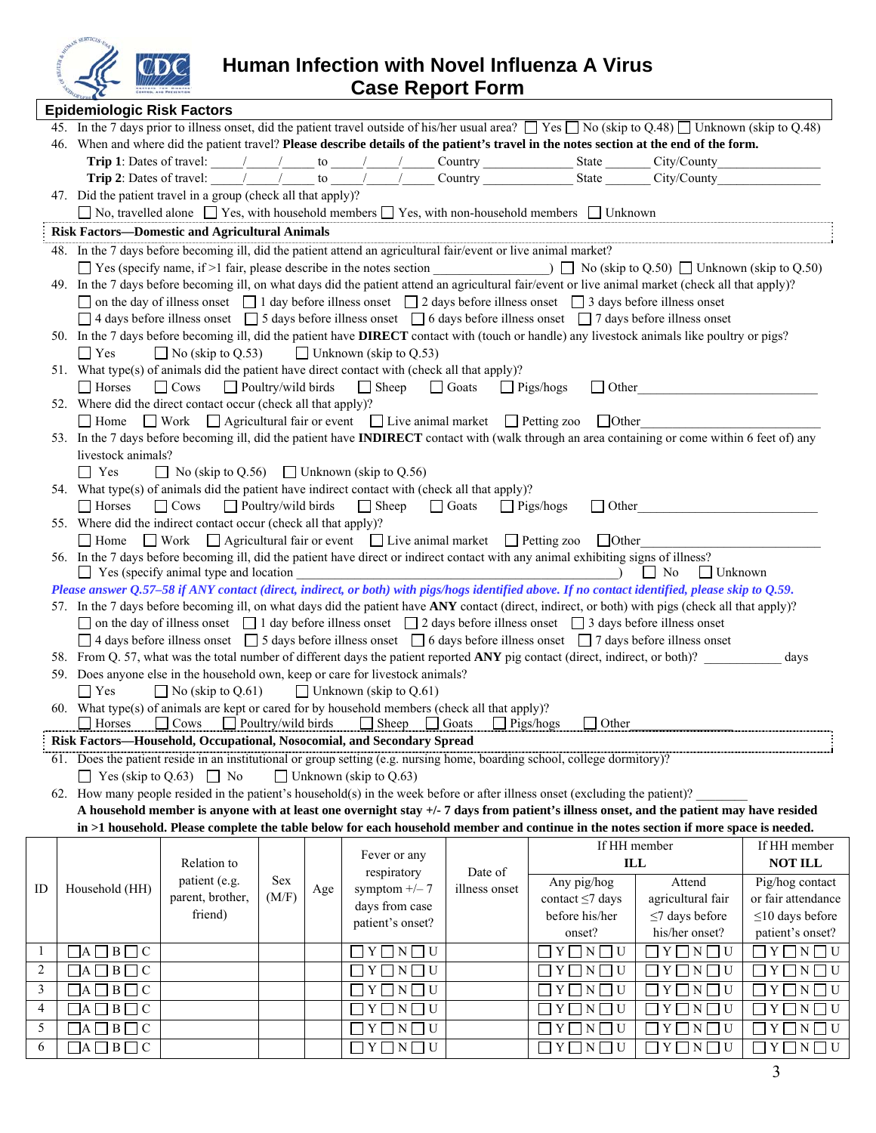

**Human Infection with Novel Influenza A Virus Case Report Form** 

|                         | <b>Epidemiologic Risk Factors</b>                                                                                                                                                                                                                                                                |                                                        |                           |     |                                                                                                        |                                  |                                                                                                                                                                                                   |                           |                            |
|-------------------------|--------------------------------------------------------------------------------------------------------------------------------------------------------------------------------------------------------------------------------------------------------------------------------------------------|--------------------------------------------------------|---------------------------|-----|--------------------------------------------------------------------------------------------------------|----------------------------------|---------------------------------------------------------------------------------------------------------------------------------------------------------------------------------------------------|---------------------------|----------------------------|
|                         |                                                                                                                                                                                                                                                                                                  |                                                        |                           |     |                                                                                                        |                                  | 45. In the 7 days prior to illness onset, did the patient travel outside of his/her usual area? T Yes No (skip to Q.48) T Unknown (skip to Q.48)                                                  |                           |                            |
|                         |                                                                                                                                                                                                                                                                                                  |                                                        |                           |     |                                                                                                        |                                  | 46. When and where did the patient travel? Please describe details of the patient's travel in the notes section at the end of the form.                                                           |                           |                            |
|                         |                                                                                                                                                                                                                                                                                                  |                                                        |                           |     |                                                                                                        |                                  |                                                                                                                                                                                                   |                           |                            |
|                         |                                                                                                                                                                                                                                                                                                  |                                                        |                           |     |                                                                                                        |                                  | <b>Trip 2</b> : Dates of travel: $\frac{1}{\sqrt{1-\frac{1}{n}}}$ to $\frac{1}{\sqrt{1-\frac{1}{n}}}$ Country $\frac{1}{\sqrt{1-\frac{1}{n}}}$ State $\frac{1}{\sqrt{1-\frac{1}{n}}}$ City/County |                           |                            |
|                         | 47. Did the patient travel in a group (check all that apply)?                                                                                                                                                                                                                                    |                                                        |                           |     |                                                                                                        |                                  |                                                                                                                                                                                                   |                           |                            |
|                         |                                                                                                                                                                                                                                                                                                  |                                                        |                           |     |                                                                                                        |                                  | $\Box$ No, travelled alone $\Box$ Yes, with household members $\Box$ Yes, with non-household members $\Box$ Unknown                                                                               |                           |                            |
|                         | <b>Risk Factors-Domestic and Agricultural Animals</b>                                                                                                                                                                                                                                            |                                                        |                           |     |                                                                                                        |                                  |                                                                                                                                                                                                   |                           |                            |
|                         | 48. In the 7 days before becoming ill, did the patient attend an agricultural fair/event or live animal market?                                                                                                                                                                                  |                                                        |                           |     |                                                                                                        |                                  |                                                                                                                                                                                                   |                           |                            |
|                         |                                                                                                                                                                                                                                                                                                  |                                                        |                           |     |                                                                                                        |                                  | $\Box$ Yes (specify name, if >1 fair, please describe in the notes section $\Box$ No (skip to Q.50) $\Box$ Unknown (skip to Q.50)                                                                 |                           |                            |
|                         |                                                                                                                                                                                                                                                                                                  |                                                        |                           |     |                                                                                                        |                                  | 49. In the 7 days before becoming ill, on what days did the patient attend an agricultural fair/event or live animal market (check all that apply)?                                               |                           |                            |
|                         |                                                                                                                                                                                                                                                                                                  |                                                        |                           |     |                                                                                                        |                                  |                                                                                                                                                                                                   |                           |                            |
|                         | $\Box$ on the day of illness onset $\Box$ 1 day before illness onset $\Box$ 2 days before illness onset $\Box$ 3 days before illness onset<br>$\Box$ 4 days before illness onset $\Box$ 5 days before illness onset $\Box$ 6 days before illness onset $\Box$ 7 days before illness onset        |                                                        |                           |     |                                                                                                        |                                  |                                                                                                                                                                                                   |                           |                            |
|                         |                                                                                                                                                                                                                                                                                                  |                                                        |                           |     |                                                                                                        |                                  | 50. In the 7 days before becoming ill, did the patient have <b>DIRECT</b> contact with (touch or handle) any livestock animals like poultry or pigs?                                              |                           |                            |
|                         | $\Box$ Yes                                                                                                                                                                                                                                                                                       |                                                        |                           |     | $\Box$ No (skip to Q.53) $\Box$ Unknown (skip to Q.53)                                                 |                                  |                                                                                                                                                                                                   |                           |                            |
|                         | 51. What type(s) of animals did the patient have direct contact with (check all that apply)?                                                                                                                                                                                                     |                                                        |                           |     |                                                                                                        |                                  |                                                                                                                                                                                                   |                           |                            |
|                         | $\Box$ Horses                                                                                                                                                                                                                                                                                    |                                                        |                           |     |                                                                                                        |                                  |                                                                                                                                                                                                   |                           |                            |
|                         |                                                                                                                                                                                                                                                                                                  |                                                        |                           |     | □ Cows □ Poultry/wild birds □ Sheep □ Goats □ Pigs/hogs                                                |                                  | $\Box$ Other                                                                                                                                                                                      |                           |                            |
|                         | 52. Where did the direct contact occur (check all that apply)?                                                                                                                                                                                                                                   |                                                        |                           |     |                                                                                                        |                                  | □ Home □ Work □ Agricultural fair or event □ Live animal market □ Petting zoo □ Other                                                                                                             |                           |                            |
|                         |                                                                                                                                                                                                                                                                                                  |                                                        |                           |     |                                                                                                        |                                  | 53. In the 7 days before becoming ill, did the patient have <b>INDIRECT</b> contact with (walk through an area containing or come within 6 feet of) any                                           |                           |                            |
|                         | livestock animals?                                                                                                                                                                                                                                                                               |                                                        |                           |     |                                                                                                        |                                  |                                                                                                                                                                                                   |                           |                            |
|                         | $\Box$ Yes                                                                                                                                                                                                                                                                                       | $\Box$ No (skip to Q.56) $\Box$ Unknown (skip to Q.56) |                           |     |                                                                                                        |                                  |                                                                                                                                                                                                   |                           |                            |
|                         | 54. What type(s) of animals did the patient have indirect contact with (check all that apply)?                                                                                                                                                                                                   |                                                        |                           |     |                                                                                                        |                                  |                                                                                                                                                                                                   |                           |                            |
|                         | $\Box$ Horses                                                                                                                                                                                                                                                                                    | $\Box$ Cows $\Box$ Poultry/wild birds                  |                           |     | $\Box$ Sheep $\Box$ Goats $\Box$ Pigs/hogs                                                             |                                  | $\Box$ Other                                                                                                                                                                                      |                           |                            |
|                         | 55. Where did the indirect contact occur (check all that apply)?                                                                                                                                                                                                                                 |                                                        |                           |     |                                                                                                        |                                  |                                                                                                                                                                                                   |                           |                            |
|                         |                                                                                                                                                                                                                                                                                                  |                                                        |                           |     | $\Box$ Home $\Box$ Work $\Box$ Agricultural fair or event $\Box$ Live animal market $\Box$ Petting zoo |                                  | $\Box$ Other                                                                                                                                                                                      |                           |                            |
|                         |                                                                                                                                                                                                                                                                                                  |                                                        |                           |     |                                                                                                        |                                  | 56. In the 7 days before becoming ill, did the patient have direct or indirect contact with any animal exhibiting signs of illness?                                                               |                           |                            |
|                         |                                                                                                                                                                                                                                                                                                  | $\Box$ Yes (specify animal type and location           |                           |     |                                                                                                        |                                  | $\log N_0$                                                                                                                                                                                        | Unknown                   |                            |
|                         |                                                                                                                                                                                                                                                                                                  |                                                        |                           |     |                                                                                                        |                                  | Please answer Q.57-58 if ANY contact (direct, indirect, or both) with pigs/hogs identified above. If no contact identified, please skip to Q.59.                                                  |                           |                            |
|                         |                                                                                                                                                                                                                                                                                                  |                                                        |                           |     |                                                                                                        |                                  |                                                                                                                                                                                                   |                           |                            |
|                         | 57. In the 7 days before becoming ill, on what days did the patient have ANY contact (direct, indirect, or both) with pigs (check all that apply)?<br>$\Box$ on the day of illness onset $\Box$ 1 day before illness onset $\Box$ 2 days before illness onset $\Box$ 3 days before illness onset |                                                        |                           |     |                                                                                                        |                                  |                                                                                                                                                                                                   |                           |                            |
|                         |                                                                                                                                                                                                                                                                                                  |                                                        |                           |     |                                                                                                        |                                  | $\Box$ 4 days before illness onset $\Box$ 5 days before illness onset $\Box$ 6 days before illness onset $\Box$ 7 days before illness onset                                                       |                           |                            |
|                         |                                                                                                                                                                                                                                                                                                  |                                                        |                           |     |                                                                                                        |                                  | 58. From Q. 57, what was the total number of different days the patient reported ANY pig contact (direct, indirect, or both)?                                                                     |                           | days                       |
|                         | 59. Does anyone else in the household own, keep or care for livestock animals?                                                                                                                                                                                                                   |                                                        |                           |     |                                                                                                        |                                  |                                                                                                                                                                                                   |                           |                            |
|                         | $\Box$ Yes                                                                                                                                                                                                                                                                                       | $\Box$ No (skip to Q.61)                               |                           |     | $\Box$ Unknown (skip to Q.61)                                                                          |                                  |                                                                                                                                                                                                   |                           |                            |
|                         | 60. What type(s) of animals are kept or cared for by household members (check all that apply)?                                                                                                                                                                                                   |                                                        |                           |     |                                                                                                        |                                  |                                                                                                                                                                                                   |                           |                            |
|                         | $\Box$ Horses                                                                                                                                                                                                                                                                                    | $\Box$ Cows                                            | $\Box$ Poultry/wild birds |     | $\Box$ Sheep                                                                                           | $\Box$ Pigs/hogs<br>$\Box$ Goats | Other                                                                                                                                                                                             |                           |                            |
|                         | Risk Factors-Household, Occupational, Nosocomial, and Secondary Spread                                                                                                                                                                                                                           |                                                        |                           |     |                                                                                                        |                                  |                                                                                                                                                                                                   |                           |                            |
|                         |                                                                                                                                                                                                                                                                                                  |                                                        |                           |     |                                                                                                        |                                  | 61. Does the patient reside in an institutional or group setting (e.g. nursing home, boarding school, college dormitory)?                                                                         |                           |                            |
|                         | $\Box$ Yes (skip to Q.63) $\Box$ No                                                                                                                                                                                                                                                              |                                                        |                           |     | $\Box$ Unknown (skip to Q.63)                                                                          |                                  |                                                                                                                                                                                                   |                           |                            |
|                         |                                                                                                                                                                                                                                                                                                  |                                                        |                           |     |                                                                                                        |                                  | 62. How many people resided in the patient's household(s) in the week before or after illness onset (excluding the patient)?                                                                      |                           |                            |
|                         |                                                                                                                                                                                                                                                                                                  |                                                        |                           |     |                                                                                                        |                                  | A household member is anyone with at least one overnight stay +/- 7 days from patient's illness onset, and the patient may have resided                                                           |                           |                            |
|                         |                                                                                                                                                                                                                                                                                                  |                                                        |                           |     |                                                                                                        |                                  | in >1 household. Please complete the table below for each household member and continue in the notes section if more space is needed.                                                             |                           |                            |
|                         |                                                                                                                                                                                                                                                                                                  |                                                        |                           |     | Fever or any                                                                                           |                                  |                                                                                                                                                                                                   | If HH member              | If HH member               |
|                         |                                                                                                                                                                                                                                                                                                  | Relation to                                            |                           |     |                                                                                                        | Date of                          |                                                                                                                                                                                                   | $\mathbf{ILL}$            | <b>NOT ILL</b>             |
| ID                      | Household (HH)                                                                                                                                                                                                                                                                                   | patient (e.g.                                          | <b>Sex</b>                | Age | respiratory<br>symptom $+/- 7$                                                                         | illness onset                    | Any pig/hog                                                                                                                                                                                       | Attend                    | Pig/hog contact            |
|                         |                                                                                                                                                                                                                                                                                                  | parent, brother,                                       | (M/F)                     |     | days from case                                                                                         |                                  | contact $\leq$ 7 days                                                                                                                                                                             | agricultural fair         | or fair attendance         |
|                         |                                                                                                                                                                                                                                                                                                  | friend)                                                |                           |     | patient's onset?                                                                                       |                                  | before his/her                                                                                                                                                                                    | $\leq$ 7 days before      | $\leq$ 10 days before      |
|                         |                                                                                                                                                                                                                                                                                                  |                                                        |                           |     |                                                                                                        |                                  | onset?                                                                                                                                                                                            | his/her onset?            | patient's onset?           |
| $\mathbf{1}$            | $\Box A \Box B \Box C$                                                                                                                                                                                                                                                                           |                                                        |                           |     | $Y \square N \square U$                                                                                |                                  | $\Box$ Y $\Box$ N $\Box$ U                                                                                                                                                                        | $Y \square N \square U$   | $\Box$ Y $\Box$ N $\Box$ U |
| $\sqrt{2}$              | $\Box A \Box B \Box C$                                                                                                                                                                                                                                                                           |                                                        |                           |     | Y  <br>$\Box$ N $\Box$ U                                                                               |                                  | $\mid Y \square N \square U$                                                                                                                                                                      | Y [<br>$\Box$ N<br>ΠU     | Y [<br>$\Box$ N $\Box$ U   |
| $\overline{\mathbf{3}}$ | $\Box A \Box B \Box C$                                                                                                                                                                                                                                                                           |                                                        |                           |     | $Y \square N \square U$                                                                                |                                  | U<br>$ Y $ $ N$                                                                                                                                                                                   | $Y \square N$<br>$\Box$ U | Y [<br>$\Box$ $N\Box$ $U$  |
| $\overline{4}$          | $\Box A \Box B \Box C$                                                                                                                                                                                                                                                                           |                                                        |                           |     | $Y \square N \square U$                                                                                |                                  | $\Box$ U<br>$Y \Box N$                                                                                                                                                                            | $\Box$ U<br>Y [<br> N     | $N \square U$<br>Y [       |
| $\overline{\mathbf{5}}$ | $\Box A \Box B \Box C$                                                                                                                                                                                                                                                                           |                                                        |                           |     | $Y \square N \square U$                                                                                |                                  | $Y \Box$<br>U<br>N                                                                                                                                                                                | Y [<br>N<br>U             | $N \square U$<br>Y         |
| 6                       | $\Box A \Box B \Box C$                                                                                                                                                                                                                                                                           |                                                        |                           |     | $\Box$ Y $\Box$ N $\Box$ U                                                                             |                                  | $\Box$ Y $\Box$ N $\Box$ U                                                                                                                                                                        |                           | $Y \square N \square U$    |
|                         |                                                                                                                                                                                                                                                                                                  |                                                        |                           |     |                                                                                                        |                                  |                                                                                                                                                                                                   | $Y \Box Y \Box U$         |                            |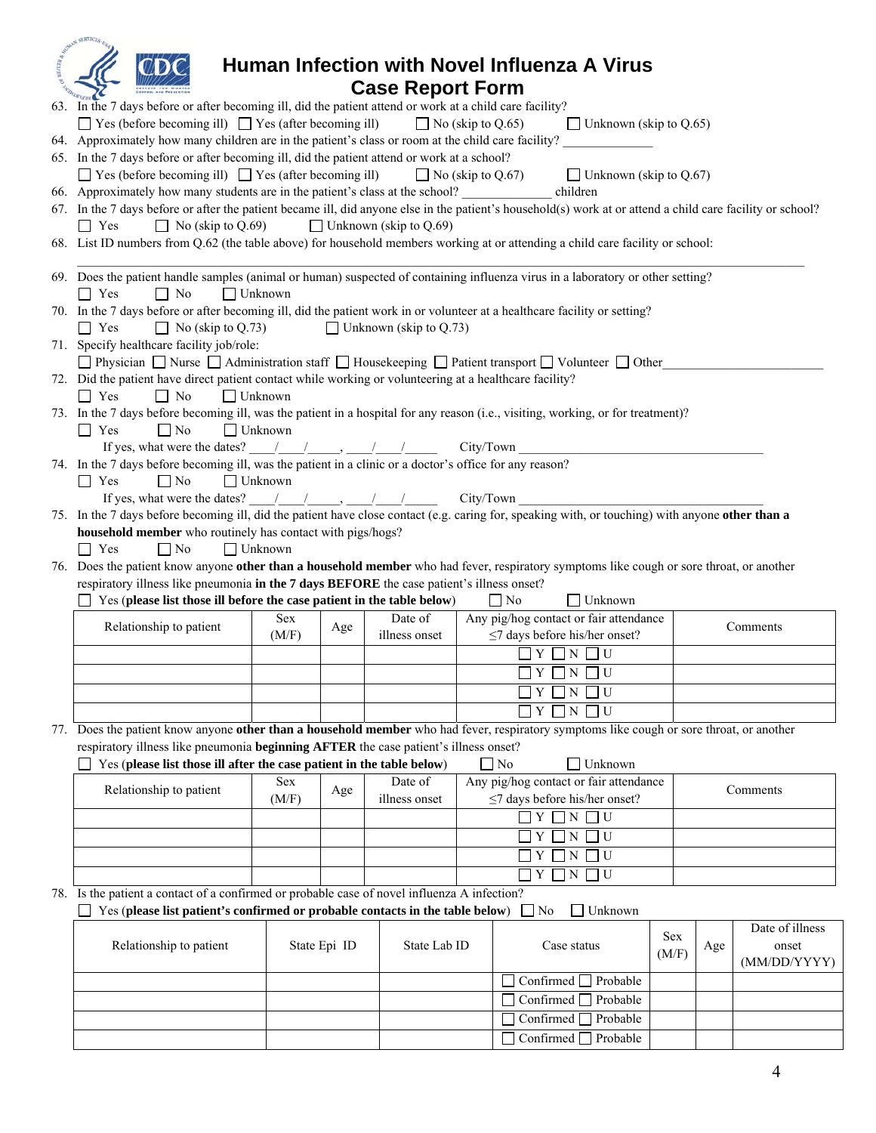|                                                                                                                                                            |                   |                               | Human Infection with Novel Influenza A Virus                                                                                                                                                                                                                                                                                                                                                                                                                                    |            |     |                 |
|------------------------------------------------------------------------------------------------------------------------------------------------------------|-------------------|-------------------------------|---------------------------------------------------------------------------------------------------------------------------------------------------------------------------------------------------------------------------------------------------------------------------------------------------------------------------------------------------------------------------------------------------------------------------------------------------------------------------------|------------|-----|-----------------|
|                                                                                                                                                            |                   | <b>Case Report Form</b>       |                                                                                                                                                                                                                                                                                                                                                                                                                                                                                 |            |     |                 |
| 63. In the 7 days before or after becoming ill, did the patient attend or work at a child care facility?                                                   |                   |                               |                                                                                                                                                                                                                                                                                                                                                                                                                                                                                 |            |     |                 |
|                                                                                                                                                            |                   |                               |                                                                                                                                                                                                                                                                                                                                                                                                                                                                                 |            |     |                 |
| $\Box$ Yes (before becoming ill) $\Box$ Yes (after becoming ill)                                                                                           |                   | $\Box$ No (skip to Q.65)      | $\Box$ Unknown (skip to Q.65)                                                                                                                                                                                                                                                                                                                                                                                                                                                   |            |     |                 |
| 64. Approximately how many children are in the patient's class or room at the child care facility?                                                         |                   |                               |                                                                                                                                                                                                                                                                                                                                                                                                                                                                                 |            |     |                 |
| 65. In the 7 days before or after becoming ill, did the patient attend or work at a school?                                                                |                   |                               |                                                                                                                                                                                                                                                                                                                                                                                                                                                                                 |            |     |                 |
| $\Box$ Yes (before becoming ill) $\Box$ Yes (after becoming ill)                                                                                           |                   | $\Box$ No (skip to Q.67)      | $\Box$ Unknown (skip to Q.67)                                                                                                                                                                                                                                                                                                                                                                                                                                                   |            |     |                 |
| 66. Approximately how many students are in the patient's class at the school?                                                                              |                   |                               | children                                                                                                                                                                                                                                                                                                                                                                                                                                                                        |            |     |                 |
| 67. In the 7 days before or after the patient became ill, did anyone else in the patient's household(s) work at or attend a child care facility or school? |                   |                               |                                                                                                                                                                                                                                                                                                                                                                                                                                                                                 |            |     |                 |
| $\Box$ Yes<br>$\Box$ No (skip to Q.69)                                                                                                                     |                   | $\Box$ Unknown (skip to Q.69) |                                                                                                                                                                                                                                                                                                                                                                                                                                                                                 |            |     |                 |
| 68. List ID numbers from Q.62 (the table above) for household members working at or attending a child care facility or school:                             |                   |                               |                                                                                                                                                                                                                                                                                                                                                                                                                                                                                 |            |     |                 |
|                                                                                                                                                            |                   |                               |                                                                                                                                                                                                                                                                                                                                                                                                                                                                                 |            |     |                 |
| 69. Does the patient handle samples (animal or human) suspected of containing influenza virus in a laboratory or other setting?<br>$\Box$ Yes<br>$\Box$ No | $\Box$ Unknown    |                               |                                                                                                                                                                                                                                                                                                                                                                                                                                                                                 |            |     |                 |
|                                                                                                                                                            |                   |                               |                                                                                                                                                                                                                                                                                                                                                                                                                                                                                 |            |     |                 |
| 70. In the 7 days before or after becoming ill, did the patient work in or volunteer at a healthcare facility or setting?                                  |                   |                               |                                                                                                                                                                                                                                                                                                                                                                                                                                                                                 |            |     |                 |
| $\Box$ No (skip to Q.73)<br>$\Box$ Yes                                                                                                                     |                   | $\Box$ Unknown (skip to Q.73) |                                                                                                                                                                                                                                                                                                                                                                                                                                                                                 |            |     |                 |
| 71. Specify healthcare facility job/role:                                                                                                                  |                   |                               |                                                                                                                                                                                                                                                                                                                                                                                                                                                                                 |            |     |                 |
| <b>Physician</b> Nurse $\Box$ Administration staff $\Box$ Housekeeping $\Box$ Patient transport $\Box$ Volunteer $\Box$ Other                              |                   |                               |                                                                                                                                                                                                                                                                                                                                                                                                                                                                                 |            |     |                 |
| 72. Did the patient have direct patient contact while working or volunteering at a healthcare facility?                                                    |                   |                               |                                                                                                                                                                                                                                                                                                                                                                                                                                                                                 |            |     |                 |
| $\Box$ Yes<br>$\Box$ No                                                                                                                                    | $\Box$ Unknown    |                               |                                                                                                                                                                                                                                                                                                                                                                                                                                                                                 |            |     |                 |
| 73. In the 7 days before becoming ill, was the patient in a hospital for any reason (i.e., visiting, working, or for treatment)?                           |                   |                               |                                                                                                                                                                                                                                                                                                                                                                                                                                                                                 |            |     |                 |
| $\Box$ Yes<br>$\Box$ No                                                                                                                                    | $\Box$ Unknown    |                               |                                                                                                                                                                                                                                                                                                                                                                                                                                                                                 |            |     |                 |
|                                                                                                                                                            |                   |                               | If yes, what were the dates? $\frac{1}{\sqrt{2}}$ $\frac{1}{\sqrt{2}}$ $\frac{1}{\sqrt{2}}$ City/Town                                                                                                                                                                                                                                                                                                                                                                           |            |     |                 |
| 74. In the 7 days before becoming ill, was the patient in a clinic or a doctor's office for any reason?                                                    |                   |                               |                                                                                                                                                                                                                                                                                                                                                                                                                                                                                 |            |     |                 |
| $\Box$ No<br>$\blacksquare$ Yes                                                                                                                            | $\Box$ Unknown    |                               |                                                                                                                                                                                                                                                                                                                                                                                                                                                                                 |            |     |                 |
|                                                                                                                                                            |                   |                               | If yes, what were the dates? $\frac{1}{\sqrt{1-\frac{1}{2}}}\frac{1}{\sqrt{1-\frac{1}{2}}}$ City/Town                                                                                                                                                                                                                                                                                                                                                                           |            |     |                 |
| 75. In the 7 days before becoming ill, did the patient have close contact (e.g. caring for, speaking with, or touching) with anyone other than a           |                   |                               |                                                                                                                                                                                                                                                                                                                                                                                                                                                                                 |            |     |                 |
| household member who routinely has contact with pigs/hogs?                                                                                                 |                   |                               |                                                                                                                                                                                                                                                                                                                                                                                                                                                                                 |            |     |                 |
| $\Box$ No<br>$\blacksquare$ Yes                                                                                                                            | $\Box$ Unknown    |                               |                                                                                                                                                                                                                                                                                                                                                                                                                                                                                 |            |     |                 |
| 76. Does the patient know anyone other than a household member who had fever, respiratory symptoms like cough or sore throat, or another                   |                   |                               |                                                                                                                                                                                                                                                                                                                                                                                                                                                                                 |            |     |                 |
| respiratory illness like pneumonia in the 7 days BEFORE the case patient's illness onset?                                                                  |                   |                               |                                                                                                                                                                                                                                                                                                                                                                                                                                                                                 |            |     |                 |
| Yes (please list those ill before the case patient in the table below)                                                                                     |                   |                               | $\Box$ Unknown<br>    No                                                                                                                                                                                                                                                                                                                                                                                                                                                        |            |     |                 |
| Relationship to patient                                                                                                                                    | <b>Sex</b>        | Date of                       | Any pig/hog contact or fair attendance                                                                                                                                                                                                                                                                                                                                                                                                                                          |            |     | Comments        |
|                                                                                                                                                            | Age<br>(M/F)      | illness onset                 | $\leq$ 7 days before his/her onset?                                                                                                                                                                                                                                                                                                                                                                                                                                             |            |     |                 |
|                                                                                                                                                            |                   |                               | $\Box$ Y $\Box$ N $\Box$ U                                                                                                                                                                                                                                                                                                                                                                                                                                                      |            |     |                 |
|                                                                                                                                                            |                   |                               | $\Box$ y $\Box$ n $\Box$ u                                                                                                                                                                                                                                                                                                                                                                                                                                                      |            |     |                 |
|                                                                                                                                                            |                   |                               | $Y \square N \square U$                                                                                                                                                                                                                                                                                                                                                                                                                                                         |            |     |                 |
|                                                                                                                                                            |                   |                               |                                                                                                                                                                                                                                                                                                                                                                                                                                                                                 |            |     |                 |
|                                                                                                                                                            |                   |                               | Y<br>$N \prod U$                                                                                                                                                                                                                                                                                                                                                                                                                                                                |            |     |                 |
| 77. Does the patient know anyone other than a household member who had fever, respiratory symptoms like cough or sore throat, or another                   |                   |                               |                                                                                                                                                                                                                                                                                                                                                                                                                                                                                 |            |     |                 |
| respiratory illness like pneumonia beginning AFTER the case patient's illness onset?                                                                       |                   |                               |                                                                                                                                                                                                                                                                                                                                                                                                                                                                                 |            |     |                 |
| Yes (please list those ill after the case patient in the table below)                                                                                      |                   |                               | $\Box$ No<br>Unknown                                                                                                                                                                                                                                                                                                                                                                                                                                                            |            |     |                 |
| Relationship to patient                                                                                                                                    | <b>Sex</b><br>Age | Date of                       | Any pig/hog contact or fair attendance                                                                                                                                                                                                                                                                                                                                                                                                                                          |            |     | Comments        |
|                                                                                                                                                            | (M/F)             | illness onset                 | $\leq$ 7 days before his/her onset?                                                                                                                                                                                                                                                                                                                                                                                                                                             |            |     |                 |
|                                                                                                                                                            |                   |                               | $\overline{\mathcal{C}}$ $\overline{\mathcal{C}}$ $\overline{\mathcal{C}}$ $\overline{\mathcal{C}}$ $\overline{\mathcal{C}}$ $\overline{\mathcal{C}}$ $\overline{\mathcal{C}}$ $\overline{\mathcal{C}}$ $\overline{\mathcal{C}}$ $\overline{\mathcal{C}}$ $\overline{\mathcal{C}}$ $\overline{\mathcal{C}}$ $\overline{\mathcal{C}}$ $\overline{\mathcal{C}}$ $\overline{\mathcal{C}}$ $\overline{\mathcal{C}}$ $\overline{\mathcal{C}}$ $\overline{\mathcal{C}}$ $\overline{\$ |            |     |                 |
|                                                                                                                                                            |                   |                               | $\Box U$<br>Y<br>ΠN                                                                                                                                                                                                                                                                                                                                                                                                                                                             |            |     |                 |
|                                                                                                                                                            |                   |                               | $\mathbf N$<br>Y<br>$\Box$                                                                                                                                                                                                                                                                                                                                                                                                                                                      |            |     |                 |
|                                                                                                                                                            |                   |                               | $Y \square N \square U$                                                                                                                                                                                                                                                                                                                                                                                                                                                         |            |     |                 |
| 78. Is the patient a contact of a confirmed or probable case of novel influenza A infection?                                                               |                   |                               |                                                                                                                                                                                                                                                                                                                                                                                                                                                                                 |            |     |                 |
|                                                                                                                                                            |                   |                               |                                                                                                                                                                                                                                                                                                                                                                                                                                                                                 |            |     |                 |
| Yes (please list patient's confirmed or probable contacts in the table below)                                                                              |                   |                               | Unknown<br>$\exists$ No                                                                                                                                                                                                                                                                                                                                                                                                                                                         |            |     |                 |
|                                                                                                                                                            |                   |                               |                                                                                                                                                                                                                                                                                                                                                                                                                                                                                 | <b>Sex</b> |     | Date of illness |
| Relationship to patient                                                                                                                                    | State Epi ID      | State Lab ID                  | Case status                                                                                                                                                                                                                                                                                                                                                                                                                                                                     | (M/F)      | Age | onset           |
|                                                                                                                                                            |                   |                               |                                                                                                                                                                                                                                                                                                                                                                                                                                                                                 |            |     | (MM/DD/YYYY)    |
|                                                                                                                                                            |                   |                               | Confirmed □ Probable<br>$\mathsf{L}$                                                                                                                                                                                                                                                                                                                                                                                                                                            |            |     |                 |
|                                                                                                                                                            |                   |                               | Confirmed <sup>[</sup><br>Probable                                                                                                                                                                                                                                                                                                                                                                                                                                              |            |     |                 |
|                                                                                                                                                            |                   |                               | Confirmed [<br>Probable                                                                                                                                                                                                                                                                                                                                                                                                                                                         |            |     |                 |
|                                                                                                                                                            |                   |                               | Confirmed [<br>Probable<br>ΙI                                                                                                                                                                                                                                                                                                                                                                                                                                                   |            |     |                 |
|                                                                                                                                                            |                   |                               |                                                                                                                                                                                                                                                                                                                                                                                                                                                                                 |            |     |                 |